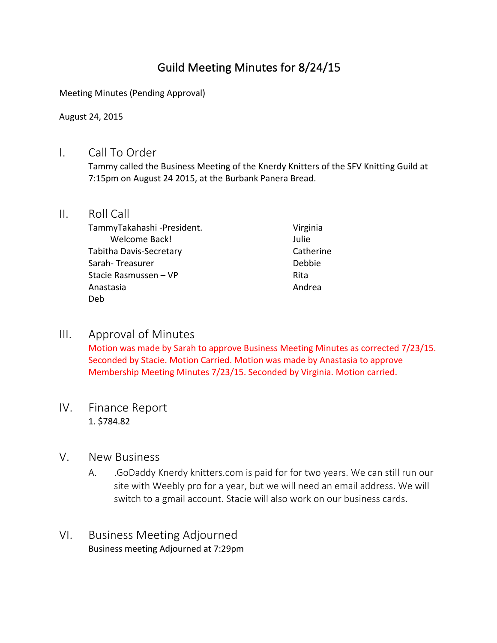# Guild Meeting Minutes for 8/24/15

Meeting Minutes (Pending Approval)

August 24, 2015

### I. Call To Order

Tammy called the Business Meeting of the Knerdy Knitters of the SFV Knitting Guild at 7:15pm on August 24 2015, at the Burbank Panera Bread.

#### II. Roll Call

TammyTakahashi -President. Welcome Back! Tabitha Davis-Secretary Sarah- Treasurer Stacie Rasmussen – VP Anastasia Deb

Virginia Julie Catherine Debbie Rita Andrea

## III. Approval of Minutes

Motion was made by Sarah to approve Business Meeting Minutes as corrected 7/23/15. Seconded by Stacie. Motion Carried. Motion was made by Anastasia to approve Membership Meeting Minutes 7/23/15. Seconded by Virginia. Motion carried.

## IV. Finance Report 1. \$784.82

#### V. New Business

- A. GoDaddy Knerdy knitters.com is paid for for two years. We can still run our site with Weebly pro for a year, but we will need an email address. We will switch to a gmail account. Stacie will also work on our business cards.
- VI. Business Meeting Adjourned Business meeting Adjourned at 7:29pm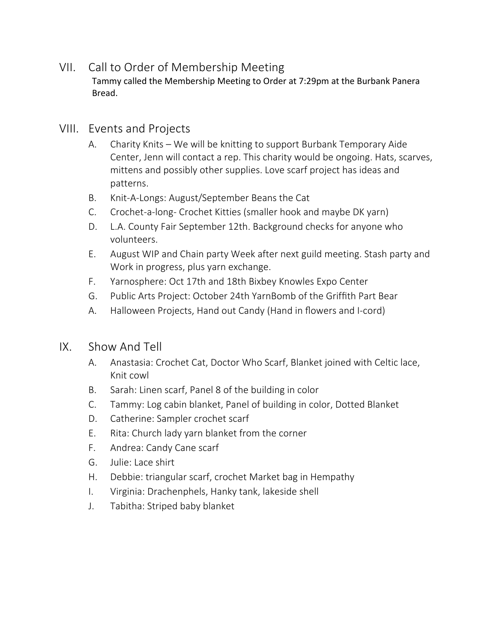# VII. Call to Order of Membership Meeting

Tammy called the Membership Meeting to Order at 7:29pm at the Burbank Panera Bread.

## VIII. Events and Projects

- A. Charity Knits We will be knitting to support Burbank Temporary Aide Center, Jenn will contact a rep. This charity would be ongoing. Hats, scarves, mittens and possibly other supplies. Love scarf project has ideas and patterns.
- B. Knit-A-Longs: August/September Beans the Cat
- C. Crochet-a-long- Crochet Kitties (smaller hook and maybe DK yarn)
- D. L.A. County Fair September 12th. Background checks for anyone who volunteers.
- E. August WIP and Chain party Week after next guild meeting. Stash party and Work in progress, plus yarn exchange.
- F. Yarnosphere: Oct 17th and 18th Bixbey Knowles Expo Center
- G. Public Arts Project: October 24th YarnBomb of the Griffith Part Bear
- A. Halloween Projects, Hand out Candy (Hand in flowers and I-cord)

## IX. Show And Tell

- A. Anastasia: Crochet Cat, Doctor Who Scarf, Blanket joined with Celtic lace, Knit cowl
- B. Sarah: Linen scarf, Panel 8 of the building in color
- C. Tammy: Log cabin blanket, Panel of building in color, Dotted Blanket
- D. Catherine: Sampler crochet scarf
- E. Rita: Church lady yarn blanket from the corner
- F. Andrea: Candy Cane scarf
- G. Julie: Lace shirt
- H. Debbie: triangular scarf, crochet Market bag in Hempathy
- I. Virginia: Drachenphels, Hanky tank, lakeside shell
- J. Tabitha: Striped baby blanket